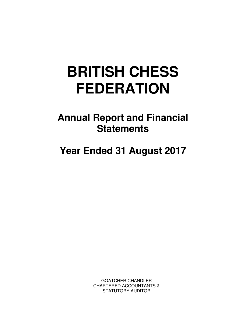# **BRITISH CHESS FEDERATION**

**Annual Report and Financial Statements** 

**Year Ended 31 August 2017** 

GOATCHER CHANDLER CHARTERED ACCOUNTANTS & STATUTORY AUDITOR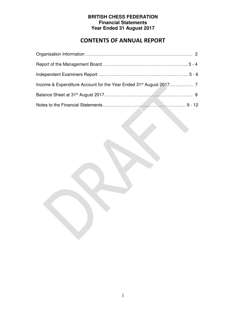# **CONTENTS OF ANNUAL REPORT**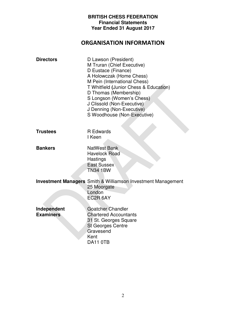## **ORGANISATION INFORMATION**

| <b>Directors</b>                | D Lawson (President)<br>M Truran (Chief Executive)<br>D Eustace (Finance)<br>A Holowczak (Home Chess)<br>M Pein (International Chess)<br>T Whitfield (Junior Chess & Education)<br>D Thomas (Membership)<br>S Longson (Women's Chess)<br>J Clissold (Non-Executive)<br>J Denning (Non-Executive)<br>S Woodhouse (Non-Executive) |
|---------------------------------|---------------------------------------------------------------------------------------------------------------------------------------------------------------------------------------------------------------------------------------------------------------------------------------------------------------------------------|
| <b>Trustees</b>                 | <b>R</b> Edwards<br>I Keen                                                                                                                                                                                                                                                                                                      |
| <b>Bankers</b>                  | <b>NatWest Bank</b><br><b>Havelock Road</b><br>Hastings<br><b>East Sussex</b><br><b>TN34 1BW</b>                                                                                                                                                                                                                                |
|                                 | <b>Investment Managers</b> Smith & Williamson Investment Management<br>25 Moorgate<br>London<br>EC2R 6AY                                                                                                                                                                                                                        |
| Independent<br><b>Examiners</b> | <b>Goatcher Chandler</b><br><b>Chartered Accountants</b><br>31 St. Georges Square<br><b>St Georges Centre</b><br>Gravesend<br>Kent<br>DA11 0TB                                                                                                                                                                                  |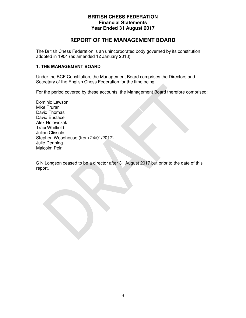## **REPORT OF THE MANAGEMENT BOARD**

The British Chess Federation is an unincorporated body governed by its constitution adopted in 1904 (as amended 12 January 2013)

#### **1. THE MANAGEMENT BOARD**

Under the BCF Constitution, the Management Board comprises the Directors and Secretary of the English Chess Federation for the time being.

For the period covered by these accounts, the Management Board therefore comprised:

Dominic Lawson Mike Truran David Thomas David Eustace Alex Holowczak Traci Whitfield Julian Clissold Stephen Woodhouse (from 24/01/2017) Julie Denning Malcolm Pein

S N Longson ceased to be a director after 31 August 2017 but prior to the date of this report.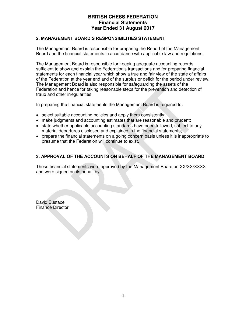#### **2. MANAGEMENT BOARD'S RESPONSIBILITIES STATEMENT**

The Management Board is responsible for preparing the Report of the Management Board and the financial statements in accordance with applicable law and regulations.

The Management Board is responsible for keeping adequate accounting records sufficient to show and explain the Federation's transactions and for preparing financial statements for each financial year which show a true and fair view of the state of affairs of the Federation at the year end and of the surplus or deficit for the period under review. The Management Board is also responsible for safeguarding the assets of the Federation and hence for taking reasonable steps for the prevention and detection of fraud and other irregularities.

In preparing the financial statements the Management Board is required to:

- select suitable accounting policies and apply them consistently;
- make judgments and accounting estimates that are reasonable and prudent;
- state whether applicable accounting standards have been followed, subject to any material departures disclosed and explained in the financial statements;
- prepare the financial statements on a going concern basis unless it is inappropriate to presume that the Federation will continue to exist.

#### **3. APPROVAL OF THE ACCOUNTS ON BEHALF OF THE MANAGEMENT BOARD**

These financial statements were approved by the Management Board on XX/XX/XXXX and were signed on its behalf by:-

David Eustace Finance Director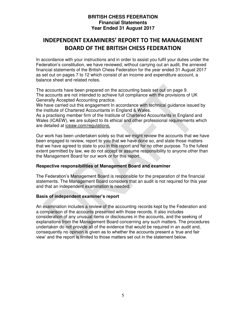## **INDEPENDENT EXAMINERS' REPORT TO THE MANAGEMENT BOARD OF THE BRITISH CHESS FEDERATION**

In accordance with your instructions and in order to assist you fulfil your duties under the Federation's constitution, we have reviewed, without carrying out an audit, the annexed financial statements of the British Chess Federation for the year ended 31 August 2017 as set out on pages 7 to 12 which consist of an income and expenditure account, a balance sheet and related notes.

The accounts have been prepared on the accounting basis set out on page 9. The accounts are not intended to achieve full compliance with the provisions of UK Generally Accepted Accounting practice.

We have carried out this engagement In accordance with technical guidance issued by the institute of Chartered Accountants in England & Wales.

As a practising member firm of the Institute of Chartered Accountants in England and Wales (ICAEW), we are subject to its ethical and other professional requirements which are detailed at iceaw.com/regulations.

Our work has been undertaken solely so that we might review the accounts that we have been engaged to review, report to you that we have done so, and state those matters that we have agreed to state to you in this report and for no other purpose. To the fullest extent permitted by law, we do not accept or assume responsibility to anyone other than the Management Board for our work or for this report.

#### **Respective responsibilities of Management Board and examiner**

The Federation's Management Board is responsible for the preparation of the financial statements. The Management Board considers that an audit is not required for this year and that an independent examination is needed.

#### **Basis of independent examiner's report**

An examination includes a review of the accounting records kept by the Federation and a comparison of the accounts presented with those records. It also includes consideration of any unusual items or disclosures in the accounts, and the seeking of explanations from the Management Board concerning any such matters. The procedures undertaken do not provide all of the evidence that would be required in an audit and, consequently no opinion is given as to whether the accounts present a 'true and fair view' and the report is limited to those matters set out in the statement below.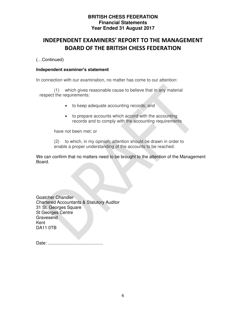## **INDEPENDENT EXAMINERS' REPORT TO THE MANAGEMENT BOARD OF THE BRITISH CHESS FEDERATION**

(…Continued)

#### **Independent examiner's statement**

In connection with our examination, no matter has come to our attention:

(1) which gives reasonable cause to believe that in any material respect the requirements:

- to keep adequate accounting records; and
- to prepare accounts which accord with the accounting records and to comply with the accounting requirements

have not been met; or

(2) to which, in my opinion, attention should be drawn in order to enable a proper understanding of the accounts to be reached.

We can confirm that no matters need to be brought to the attention of the Management Board.

Goatcher Chandler Chartered Accountants & Statutory Auditor 31 St. Georges Square St Georges Centre **Gravesend** Kent DA11 0TB

Date: .............................................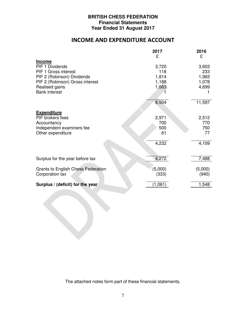## **INCOME AND EXPENDITURE ACCOUNT**

|                                    | 2017    | 2016    |
|------------------------------------|---------|---------|
|                                    | £       | £       |
| <b>Income</b>                      |         |         |
| PIF 1 Dividends                    | 3,720   | 3,603   |
| PIF 1 Gross interest               | 118     | 233     |
| PIF 2 (Robinson) Dividends         | 1,814   | 1,983   |
| PIF 2 (Robinson) Gross interest    | 1,188   | 1,078   |
| Realised gains                     | 1,663   | 4,699   |
| <b>Bank interest</b>               |         |         |
|                                    |         |         |
|                                    | 8,504   | 11,597  |
|                                    |         |         |
| <b>Expenditure</b>                 |         |         |
| PIF brokers fees                   | 2,971   | 2,512   |
| Accountancy                        | 700     | 770     |
| Independent examiners fee          | 500     | 750     |
| Other expenditure                  | 61      | 77      |
|                                    |         |         |
|                                    | 4,232   | 4,109   |
|                                    |         |         |
|                                    |         |         |
| Surplus for the year before tax    | 4,272   | 7,488   |
|                                    |         |         |
| Grants to English Chess Federation | (5,000) | (5,000) |
|                                    |         |         |
| Corporation tax                    | (333)   | (940)   |
| Surplus / (deficit) for the year   | (1,061) | 1,548   |
|                                    |         |         |

The attached notes form part of these financial statements.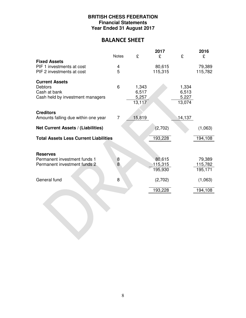## **BALANCE SHEET**

|                                              | <b>Notes</b>   | £      | 2017<br>£ | £      | 2016<br>£ |
|----------------------------------------------|----------------|--------|-----------|--------|-----------|
| <b>Fixed Assets</b>                          |                |        |           |        |           |
| PIF 1 investments at cost                    | 4              |        | 80,615    |        | 79,389    |
| PIF 2 investments at cost                    | 5              |        | 115,315   |        | 115,782   |
| <b>Current Assets</b>                        |                |        |           |        |           |
| <b>Debtors</b>                               | 6              | 1,343  |           | 1,334  |           |
| Cash at bank                                 |                | 6,517  |           | 6,513  |           |
| Cash held by investment managers             |                | 5,257  |           | 5.227  |           |
|                                              |                | 13,117 |           | 13,074 |           |
| <b>Creditors</b>                             |                |        |           |        |           |
| Amounts falling due within one year          | $\overline{7}$ | 15,819 |           | 14,137 |           |
| Net Current Assets / (Liabilities)           |                |        | (2,702)   |        | (1,063)   |
| <b>Total Assets Less Current Liabilities</b> |                |        | 193,228   |        | 194,108   |
|                                              |                |        |           |        |           |
| <b>Reserves</b>                              |                |        |           |        |           |
| Permanent investment funds 1                 | $\frac{8}{8}$  |        | 80,615    |        | 79,389    |
| Permanent investment funds 2                 |                |        | 115,315   |        | 115,782   |
|                                              |                |        | 195,930   |        | 195,171   |
| General fund                                 | 8              |        | (2,702)   |        | (1,063)   |
|                                              |                |        | 193,228   |        | 194,108   |
|                                              |                |        |           |        |           |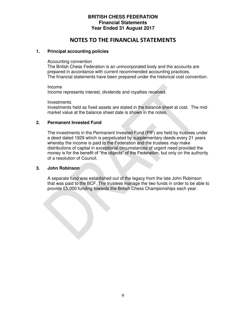### **NOTES TO THE FINANCIAL STATEMENTS**

#### **1. Principal accounting policies**

#### Accounting convention

 The British Chess Federation is an unincorporated body and the accounts are prepared in accordance with current recommended accounting practices. The financial statements have been prepared under the historical cost convention.

 Income Income represents interest, dividends and royalties received.

**Investments**  Investments held as fixed assets are stated in the balance sheet at cost. The midmarket value at the balance sheet date is shown in the notes.

#### **2. Permanent Invested Fund**

The investments in the Permanent Invested Fund (PIF) are held by trustees under a deed dated 1929 which is perpetuated by supplementary deeds every 21 years whereby the income is paid to the Federation and the trustees may make distributions of capital in exceptional circumstances of urgent need provided the money is for the benefit of "the objects" of the Federation, but only on the authority of a resolution of Council.

#### **3. John Robinson**

A separate fund was established out of the legacy from the late John Robinson that was paid to the BCF. The trustees manage the two funds in order to be able to provide £5,000 funding towards the British Chess Championships each year.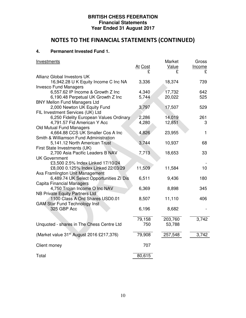## **NOTES TO THE FINANCIAL STATEMENTS (CONTINUED)**

#### **4. Permanent Invested Fund 1.**

| Investments                                                          |                | Market  | Gross  |
|----------------------------------------------------------------------|----------------|---------|--------|
|                                                                      | <u>At Cost</u> | Value   | Income |
|                                                                      | £              | £       | £      |
| Allianz Global Investors UK                                          |                |         |        |
| 16,942.28 U K Equity Income C Inc NA<br><b>Invesco Fund Managers</b> | 3,336          | 18,374  | 739    |
| 6,557.62 IP Income & Growth Z Inc                                    | 4,340          | 17,732  | 642    |
| 6,190.48 Perpetual UK Growth Z Inc                                   | 5,744          | 20,022  | 525    |
| <b>BNY Mellon Fund Managers Ltd</b>                                  |                |         |        |
| 2,000 Newton UK Equity Fund                                          | 3,797          | 17,507  | 529    |
| FIL Investment Services (UK) Ltd                                     |                |         |        |
| 6,250 Fidelity European Values Ordinary                              | 2,286          | 14,019  | 261    |
| 4,791.57 Fid American Y Acc                                          | 4,280          | 12,851  | 3      |
| Old Mutual Fund Managers                                             |                |         |        |
| 4,664.88 CCS UK Smaller Cos A Inc                                    | 4,826          | 23,955  | 1      |
| Smith & Williamson Fund Administration                               |                |         |        |
| 5,141.12 North American Trust                                        | 3,744          | 10,937  | 68     |
| First State Investments (UK)                                         |                |         |        |
| 2,700 Asia Pacific Leaders B NAV                                     | 7,713          | 18,653  | 33     |
| <b>UK Government</b>                                                 |                |         |        |
| £3,500 2.5% Index Linked 17/10/24                                    |                |         |        |
| £8,000 0.125% Index Linked 22/03/29                                  | 11,509         | 11,584  | 10     |
| Axa Framlington Unit Management                                      |                |         |        |
| 6,489.74 UK Select Opportunities ZI Dis                              | 6,511          | 9,436   | 180    |
| <b>Capita Financial Managers</b>                                     |                |         |        |
| 4,750 Trojan Income O Inc NAV                                        | 6,369          | 8,898   | 345    |
| NB Private Equity Partners Ltd                                       |                |         |        |
| 1100 Class A Ord Shares USD0.01                                      | 8,507          | 11,110  | 406    |
| <b>GAM Star Fund Technology Inst</b>                                 |                |         |        |
| 325 GBP Acc                                                          | 6,196          | 8,682   |        |
|                                                                      |                |         |        |
|                                                                      | 79,158         | 203,760 | 3,742  |
| Unquoted - shares in The Chess Centre Ltd                            | 750            | 53,788  |        |
|                                                                      |                |         |        |
| (Market value 31 <sup>st</sup> August 2016 £217,376)                 | 79,908         | 257,548 | 3,742  |
|                                                                      |                |         |        |
| Client money                                                         | 707            |         |        |
|                                                                      |                |         |        |
| Total                                                                | 80,615         |         |        |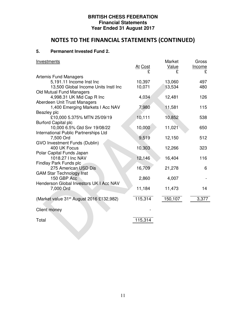# **NOTES TO THE FINANCIAL STATEMENTS (CONTINUED)**

#### **5. Permanent Invested Fund 2.**

| <b>Investments</b>                                   | <u>At Cost</u> | Market<br>Value<br>£ | Gross<br>Income<br>£ |
|------------------------------------------------------|----------------|----------------------|----------------------|
| <b>Artemis Fund Managers</b>                         |                |                      |                      |
| 5,191.11 Income Inst Inc                             | 10,397         | 13,060               | 497                  |
| 13,500 Global Income Units Instl Inc                 | 10,071         | 13,534               | 480                  |
| Old Mutual Fund Managers                             |                |                      |                      |
| 4,998.31 UK Mid Cap R Inc                            | 4,034          | 12,481               | 126                  |
| Aberdeen Unit Trust Managers                         |                |                      |                      |
| 1,400 Emerging Markets I Acc NAV                     | 7,980          | 11,581               | 115                  |
| Beazley plc                                          |                |                      |                      |
| £10,000 5.375% MTN 25/09/19                          | 10,111         | 10,852               | 538                  |
| <b>Burford Capital plc</b>                           |                |                      |                      |
| 10,000 6.5% Gtd Snr 19/08/22                         | 10,000         | 11,021               | 650                  |
| International Public Partnerships Ltd                |                |                      |                      |
| 7,500 Ord                                            | 9,519          | 12,150               | 512                  |
| <b>GVO Investment Funds (Dublin)</b>                 |                |                      |                      |
| 400 UK Focus                                         | 10,303         | 12,266               | 323                  |
| Polar Capital Funds Japan                            |                |                      |                      |
| 1018.27   Inc NAV                                    | 12,146         | 16,404               | 116                  |
| Findlay Park Funds plc                               |                |                      |                      |
| 275 American USD Dis                                 | 16,709         | 21,278               | 6                    |
| <b>GAM Star Technology Inst</b>                      |                |                      |                      |
| 150 GBP Acc                                          | 2,860          | 4,007                |                      |
| Henderson Global Investors UK I Acc NAV              |                |                      |                      |
| 7,000 Ord                                            | 11,184         | 11,473               | 14                   |
|                                                      |                |                      |                      |
| (Market value 31 <sup>st</sup> August 2016 £132,982) | 115,314        | 150,107              | 3,377                |
| Client money                                         |                |                      |                      |
|                                                      |                |                      |                      |
| Total                                                | 115,314        |                      |                      |